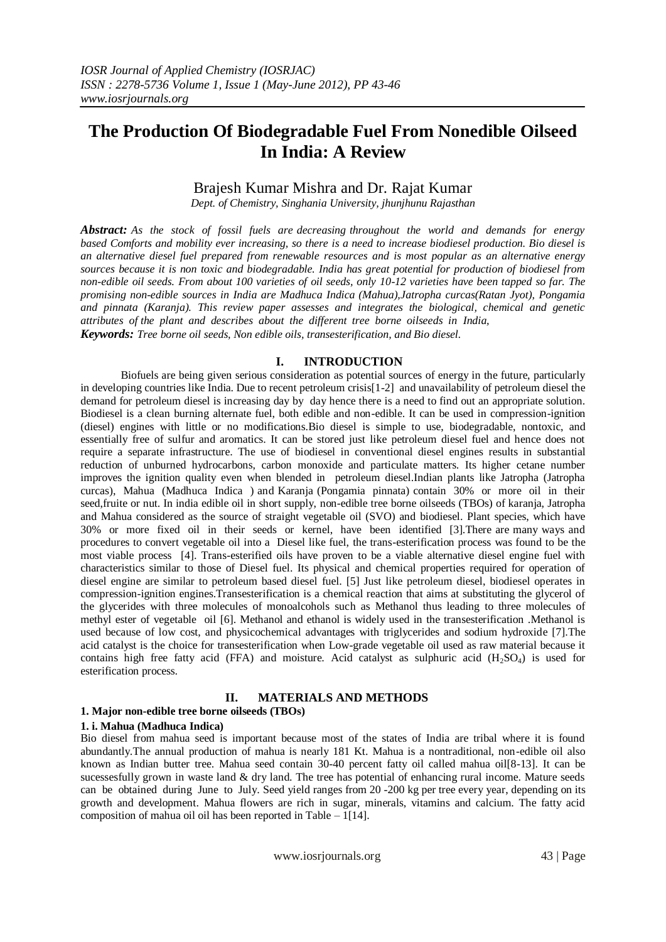# **The Production Of Biodegradable Fuel From Nonedible Oilseed In India: A Review**

# Brajesh Kumar Mishra and Dr. Rajat Kumar

*Dept. of Chemistry, Singhania University, jhunjhunu Rajasthan*

*Abstract: As the stock of fossil fuels are decreasing throughout the world and demands for energy based Comforts and mobility ever increasing, so there is a need to increase biodiesel production. Bio diesel is an alternative diesel fuel prepared from renewable resources and is most popular as an alternative energy sources because it is non toxic and biodegradable. India has great potential for production of biodiesel from non-edible oil seeds. From about 100 varieties of oil seeds, only 10-12 varieties have been tapped so far. The promising non-edible sources in India are Madhuca Indica (Mahua),Jatropha curcas(Ratan Jyot), Pongamia and pinnata (Karanja). This review paper assesses and integrates the biological, chemical and genetic attributes of the plant and describes about the different tree borne oilseeds in India, Keywords: Tree borne oil seeds, Non edible oils, transesterification, and Bio diesel.* 

#### **I. INTRODUCTION**

Biofuels are being given serious consideration as potential sources of energy in the future, particularly in developing countries like India. Due to recent petroleum crisis[1-2] and unavailability of petroleum diesel the demand for petroleum diesel is increasing day by day hence there is a need to find out an appropriate solution. Biodiesel is a clean burning alternate fuel, both edible and non-edible. It can be used in compression-ignition (diesel) engines with little or no modifications.Bio diesel is simple to use, biodegradable, nontoxic, and essentially free of sulfur and aromatics. It can be stored just like petroleum diesel fuel and hence does not require a separate infrastructure. The use of biodiesel in conventional diesel engines results in substantial reduction of unburned hydrocarbons, carbon monoxide and particulate matters. Its higher cetane number improves the ignition quality even when blended in petroleum diesel.Indian plants like Jatropha (Jatropha curcas), Mahua (Madhuca Indica ) and Karanja (Pongamia pinnata) contain 30% or more oil in their seed,fruite or nut. In india edible oil in short supply, non-edible tree borne oilseeds (TBOs) of karanja, Jatropha and Mahua considered as the source of straight vegetable oil (SVO) and biodiesel. Plant species, which have 30% or more fixed oil in their seeds or kernel, have been identified [3].There are many ways and procedures to convert vegetable oil into a Diesel like fuel, the trans-esterification process was found to be the most viable process [4]. Trans-esterified oils have proven to be a viable alternative diesel engine fuel with characteristics similar to those of Diesel fuel. Its physical and chemical properties required for operation of diesel engine are similar to petroleum based diesel fuel. [5] Just like petroleum diesel, biodiesel operates in compression-ignition engines.Transesterification is a chemical reaction that aims at substituting the glycerol of the glycerides with three molecules of monoalcohols such as Methanol thus leading to three molecules of methyl ester of vegetable oil [6]. Methanol and ethanol is widely used in the transesterification .Methanol is used because of low cost, and physicochemical advantages with triglycerides and sodium hydroxide [7].The acid catalyst is the choice for transesterification when Low-grade vegetable oil used as raw material because it contains high free fatty acid (FFA) and moisture. Acid catalyst as sulphuric acid  $(H_2SO_4)$  is used for esterification process.

#### **II. MATERIALS AND METHODS**

#### **1. Major non-edible tree borne oilseeds (TBOs)**

#### **1. i. Mahua (Madhuca Indica)**

Bio diesel from mahua seed is important because most of the states of India are tribal where it is found abundantly.The annual production of mahua is nearly 181 Kt. Mahua is a nontraditional, non-edible oil also known as Indian butter tree. Mahua seed contain 30-40 percent fatty oil called mahua oil[8-13]. It can be sucessesfully grown in waste land & dry land. The tree has potential of enhancing rural income. Mature seeds can be obtained during June to July. Seed yield ranges from 20 -200 kg per tree every year, depending on its growth and development. Mahua flowers are rich in sugar, minerals, vitamins and calcium. The fatty acid composition of mahua oil oil has been reported in Table – 1[14].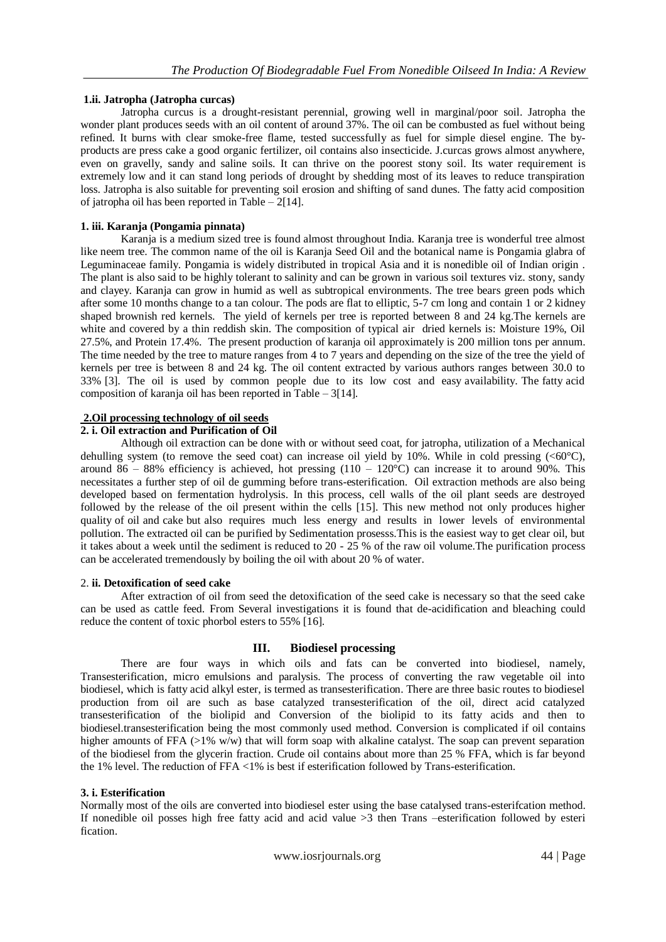## **1.ii. Jatropha (Jatropha curcas)**

Jatropha curcus is a drought-resistant perennial, growing well in marginal/poor soil. Jatropha the wonder plant produces seeds with an oil content of around 37%. The oil can be combusted as fuel without being refined. It burns with clear smoke-free flame, tested successfully as fuel for simple diesel engine. The byproducts are press cake a good organic fertilizer, oil contains also insecticide. J.curcas grows almost anywhere, even on gravelly, sandy and saline soils. It can thrive on the poorest stony soil. Its water requirement is extremely low and it can stand long periods of drought by shedding most of its leaves to reduce transpiration loss. Jatropha is also suitable for preventing soil erosion and shifting of sand dunes. The fatty acid composition of jatropha oil has been reported in Table –  $2[14]$ .

## **1. iii. Karanja (Pongamia pinnata)**

Karanja is a medium sized tree is found almost throughout India. Karanja tree is wonderful tree almost like neem tree. The common name of the oil is Karanja Seed Oil and the botanical name is Pongamia glabra of Leguminaceae family. Pongamia is widely distributed in tropical Asia and it is nonedible oil of Indian origin . The plant is also said to be highly tolerant to salinity and can be grown in various soil textures viz. stony, sandy and clayey. Karanja can grow in humid as well as subtropical environments. The tree bears green pods which after some 10 months change to a tan colour. The pods are flat to elliptic, 5-7 cm long and contain 1 or 2 kidney shaped brownish red kernels. The yield of kernels per tree is reported between 8 and 24 kg.The kernels are white and covered by a thin reddish skin. The composition of typical air dried kernels is: Moisture 19%, Oil 27.5%, and Protein 17.4%. The present production of karanja oil approximately is 200 million tons per annum. The time needed by the tree to mature ranges from 4 to 7 years and depending on the size of the tree the yield of kernels per tree is between 8 and 24 kg. The oil content extracted by various authors ranges between 30.0 to 33% [3]. The oil is used by common people due to its low cost and easy availability. The fatty acid composition of karanja oil has been reported in Table – 3[14].

## **2.Oil processing technology of oil seeds**

### **2. i. Oil extraction and Purification of Oil**

Although oil extraction can be done with or without seed coat, for jatropha, utilization of a Mechanical dehulling system (to remove the seed coat) can increase oil yield by 10%. While in cold pressing  $(<60^{\circ}C$ ), around 86 – 88% efficiency is achieved, hot pressing  $(110 - 120^{\circ}C)$  can increase it to around 90%. This necessitates a further step of oil de gumming before trans-esterification. Oil extraction methods are also being developed based on fermentation hydrolysis. In this process, cell walls of the oil plant seeds are destroyed followed by the release of the oil present within the cells [15]. This new method not only produces higher quality of oil and cake but also requires much less energy and results in lower levels of environmental pollution. The extracted oil can be purified by Sedimentation prosesss.This is the easiest way to get clear oil, but it takes about a week until the sediment is reduced to 20 - 25 % of the raw oil volume. The purification process can be accelerated tremendously by boiling the oil with about 20 % of water.

### 2. **ii. Detoxification of seed cake**

After extraction of oil from seed the detoxification of the seed cake is necessary so that the seed cake can be used as cattle feed. From Several investigations it is found that de-acidification and bleaching could reduce the content of toxic phorbol esters to 55% [16].

### **III. Biodiesel processing**

There are four ways in which oils and fats can be converted into biodiesel, namely, Transesterification, micro emulsions and paralysis. The process of converting the raw vegetable oil into biodiesel, which is fatty acid alkyl ester, is termed as transesterification. There are three basic routes to biodiesel production from oil are such as base catalyzed transesterification of the oil, direct acid catalyzed transesterification of the biolipid and Conversion of the biolipid to its fatty acids and then to biodiesel.transesterification being the most commonly used method. Conversion is complicated if oil contains higher amounts of FFA  $(>1\%$  w/w) that will form soap with alkaline catalyst. The soap can prevent separation of the biodiesel from the glycerin fraction. Crude oil contains about more than 25 % FFA, which is far beyond the 1% level. The reduction of FFA <1% is best if esterification followed by Trans-esterification.

### **3. i. Esterification**

Normally most of the oils are converted into biodiesel ester using the base catalysed trans-esterifcation method. If nonedible oil posses high free fatty acid and acid value >3 then Trans –esterification followed by esteri fication.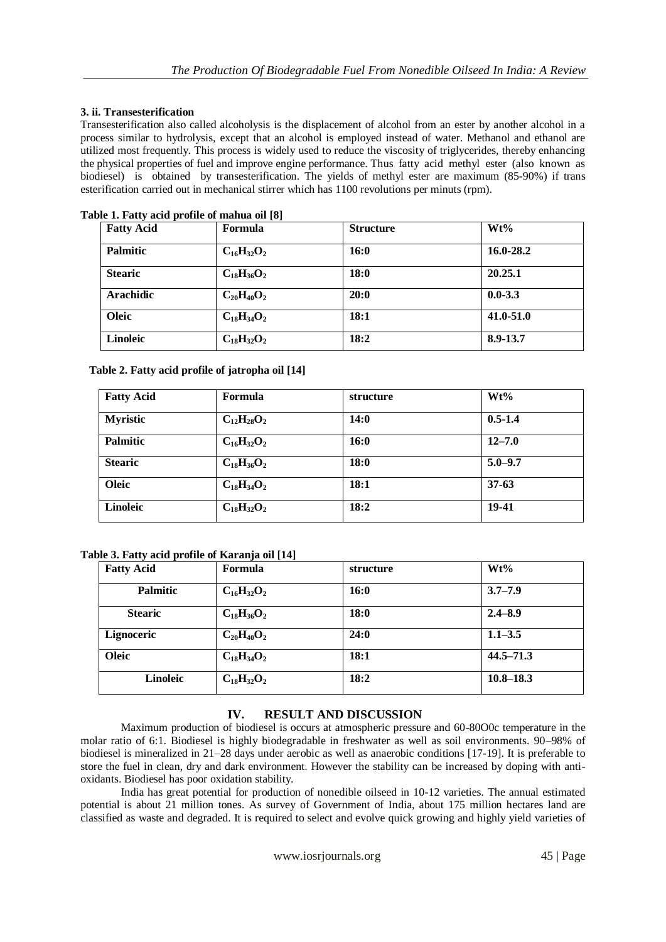# **3. ii. Transesterification**

Transesterification also called alcoholysis is the displacement of alcohol from an ester by another alcohol in a process similar to hydrolysis, except that an alcohol is employed instead of water. Methanol and ethanol are utilized most frequently. This process is widely used to reduce the viscosity of triglycerides, thereby enhancing the physical properties of fuel and improve engine performance. Thus fatty acid methyl ester (also known as biodiesel) is obtained by transesterification. The yields of methyl ester are maximum (85-90%) if trans esterification carried out in mechanical stirrer which has 1100 revolutions per minuts (rpm).

| <b>Fatty Acid</b> | <b>Formula</b>    | <b>Structure</b> | $Wt\%$        |
|-------------------|-------------------|------------------|---------------|
| <b>Palmitic</b>   | $C_{16}H_{32}O_2$ | 16:0             | 16.0-28.2     |
| <b>Stearic</b>    | $C_{18}H_{36}O_2$ | 18:0             | 20.25.1       |
| <b>Arachidic</b>  | $C_{20}H_{40}O_2$ | 20:0             | $0.0 - 3.3$   |
| Oleic             | $C_{18}H_{34}O_2$ | 18:1             | $41.0 - 51.0$ |
| Linoleic          | $C_{18}H_{32}O_2$ | 18:2             | 8.9-13.7      |

## **Table 1. Fatty acid profile of mahua oil [8]**

| Table 2. Fatty acid profile of jatropha oil [14] |  |  |
|--------------------------------------------------|--|--|
|                                                  |  |  |

| <b>Fatty Acid</b> | Formula           | structure   | $Wt\%$      |
|-------------------|-------------------|-------------|-------------|
| <b>Myristic</b>   | $C_{12}H_{28}O_2$ | 14:0        | $0.5 - 1.4$ |
| Palmitic          | $C_{16}H_{32}O_2$ | <b>16:0</b> | $12 - 7.0$  |
| <b>Stearic</b>    | $C_{18}H_{36}O_2$ | <b>18:0</b> | $5.0 - 9.7$ |
| Oleic             | $C_{18}H_{34}O_2$ | 18:1        | $37 - 63$   |
| <b>Linoleic</b>   | $C_{18}H_{32}O_2$ | 18:2        | 19-41       |

## **Table 3. Fatty acid profile of Karanja oil [14]**

| <b>Fatty Acid</b> | Formula           | structure | Wt%           |
|-------------------|-------------------|-----------|---------------|
| <b>Palmitic</b>   | $C_{16}H_{32}O_2$ | 16:0      | $3.7 - 7.9$   |
| <b>Stearic</b>    | $C_{18}H_{36}O_2$ | 18:0      | $2.4 - 8.9$   |
| Lignoceric        | $C_{20}H_{40}O_2$ | 24:0      | $1.1 - 3.5$   |
| <b>Oleic</b>      | $C_{18}H_{34}O_2$ | 18:1      | $44.5 - 71.3$ |
| <b>Linoleic</b>   | $C_{18}H_{32}O_2$ | 18:2      | $10.8 - 18.3$ |

# **IV. RESULT AND DISCUSSION**

Maximum production of biodiesel is occurs at atmospheric pressure and 60-80O0c temperature in the molar ratio of 6:1. Biodiesel is highly biodegradable in freshwater as well as soil environments. 90–98% of biodiesel is mineralized in 21–28 days under aerobic as well as anaerobic conditions [17-19]. It is preferable to store the fuel in clean, dry and dark environment. However the stability can be increased by doping with antioxidants. Biodiesel has poor oxidation stability.

India has great potential for production of nonedible oilseed in 10-12 varieties. The annual estimated potential is about 21 million tones. As survey of Government of India, about 175 million hectares land are classified as waste and degraded. It is required to select and evolve quick growing and highly yield varieties of